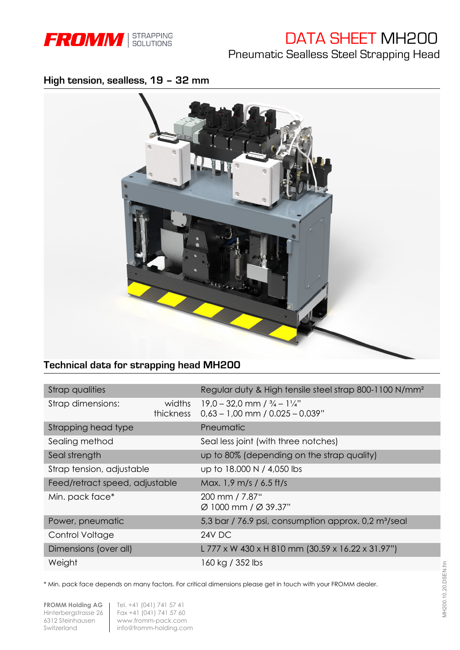

# DATA SHEET MH200

Pneumatic Sealless Steel Strapping Head

## **High tension, sealless, 19 – 32 mm**



# **Technical data for strapping head MH200**

| Strap qualities                |                     | Regular duty & High tensile steel strap 800-1100 N/mm <sup>2</sup>                     |  |  |  |
|--------------------------------|---------------------|----------------------------------------------------------------------------------------|--|--|--|
| Strap dimensions:              | widths<br>thickness | $19.0 - 32.0$ mm $1\frac{3}{4} - 1\frac{1}{4}$<br>$0,63 - 1,00$ mm / $0.025 - 0.039$ " |  |  |  |
| Strapping head type            |                     | Pneumatic                                                                              |  |  |  |
| Sealing method                 |                     | Seal less joint (with three notches)                                                   |  |  |  |
| Seal strength                  |                     | up to 80% (depending on the strap quality)                                             |  |  |  |
| Strap tension, adjustable      |                     | up to 18.000 N / 4,050 lbs                                                             |  |  |  |
| Feed/retract speed, adjustable |                     | Max. 1,9 m/s / 6.5 ft/s                                                                |  |  |  |
| Min. pack face*                |                     | 200 mm / 7.87"<br>Ø 1000 mm / Ø 39.37"                                                 |  |  |  |
| Power, pneumatic               |                     | 5,3 bar / 76.9 psi, consumption approx. 0,2 m <sup>3</sup> /seal                       |  |  |  |
| Control Voltage                |                     | 24V DC                                                                                 |  |  |  |
| Dimensions (over all)          |                     | L 777 x W 430 x H 810 mm (30.59 x 16.22 x 31.97")                                      |  |  |  |
| Weight                         |                     | 160 kg / 352 lbs                                                                       |  |  |  |

\* Min. pack face depends on many factors. For critical dimensions please get in touch with your FROMM dealer.

**FROMM Holding AG** | Tel. +41 (041) 741 57 41 Hinterbergstrasse 26 Fax +41 (041) 741 57 60<br>6312 Steinhausen www.fromm-pack.com www.fromm-pack.com Switzerland info@fromm-holding.com